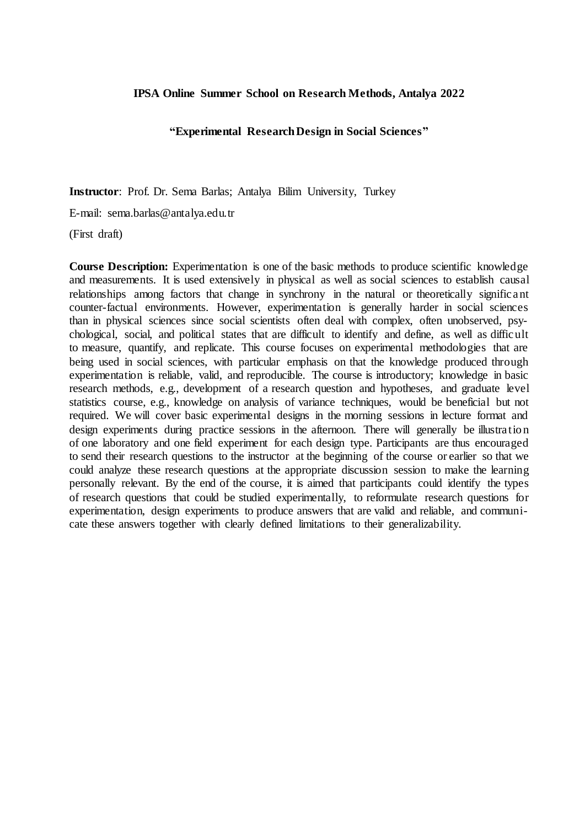## **IPSA Online Summer School on Research Methods, Antalya 2022**

## **"Experimental Research Design in Social Sciences"**

**Instructor**: Prof. Dr. Sema Barlas; Antalya Bilim University, Turkey

E-mail: sema.barlas@antalya.edu.tr

(First draft)

**Course Description:** Experimentation is one of the basic methods to produce scientific knowledge and measurements. It is used extensively in physical as well as social sciences to establish causal relationships among factors that change in synchrony in the natural or theoretically significant counter-factual environments. However, experimentation is generally harder in social sciences than in physical sciences since social scientists often deal with complex, often unobserved, psychological, social, and political states that are difficult to identify and define, as well as difficult to measure, quantify, and replicate. This course focuses on experimental methodologies that are being used in social sciences, with particular emphasis on that the knowledge produced through experimentation is reliable, valid, and reproducible. The course is introductory; knowledge in basic research methods, e.g., development of a research question and hypotheses, and graduate level statistics course, e.g., knowledge on analysis of variance techniques, would be beneficial but not required. We will cover basic experimental designs in the morning sessions in lecture format and design experiments during practice sessions in the afternoon. There will generally be illustration of one laboratory and one field experiment for each design type. Participants are thus encouraged to send their research questions to the instructor at the beginning of the course or earlier so that we could analyze these research questions at the appropriate discussion session to make the learning personally relevant. By the end of the course, it is aimed that participants could identify the types of research questions that could be studied experimentally, to reformulate research questions for experimentation, design experiments to produce answers that are valid and reliable, and communicate these answers together with clearly defined limitations to their generalizability.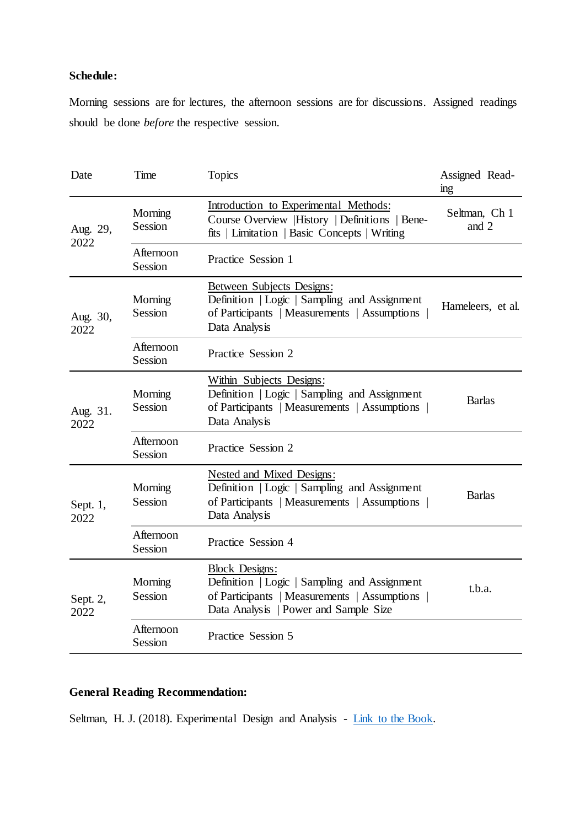## **Schedule:**

Morning sessions are for lectures, the afternoon sessions are for discussions. Assigned readings should be done *before* the respective session.

| Date               | Time                 | <b>Topics</b>                                                                                                                                                    | Assigned Read-<br>ing  |
|--------------------|----------------------|------------------------------------------------------------------------------------------------------------------------------------------------------------------|------------------------|
| Aug. 29,<br>2022   | Morning<br>Session   | Introduction to Experimental Methods:<br>Course Overview  History   Definitions   Bene-<br>fits   Limitation   Basic Concepts   Writing                          | Seltman, Ch 1<br>and 2 |
|                    | Afternoon<br>Session | Practice Session 1                                                                                                                                               |                        |
| Aug. 30,<br>2022   | Morning<br>Session   | Between Subjects Designs:<br>Definition   Logic   Sampling and Assignment<br>of Participants   Measurements   Assumptions<br>Data Analysis                       | Hameleers, et al.      |
|                    | Afternoon<br>Session | Practice Session 2                                                                                                                                               |                        |
| Aug. 31.<br>2022   | Morning<br>Session   | Within Subjects Designs:<br>Definition   Logic   Sampling and Assignment<br>of Participants   Measurements   Assumptions  <br>Data Analysis                      | <b>Barlas</b>          |
|                    | Afternoon<br>Session | Practice Session 2                                                                                                                                               |                        |
| Sept. $1,$<br>2022 | Morning<br>Session   | Nested and Mixed Designs:<br>Definition   Logic   Sampling and Assignment<br>of Participants   Measurements   Assumptions<br>Data Analysis                       | <b>Barlas</b>          |
|                    | Afternoon<br>Session | Practice Session 4                                                                                                                                               |                        |
| Sept. 2,<br>2022   | Morning<br>Session   | <b>Block Designs:</b><br>Definition   Logic   Sampling and Assignment<br>of Participants   Measurements   Assumptions  <br>Data Analysis   Power and Sample Size | t.b.a.                 |
|                    | Afternoon<br>Session | Practice Session 5                                                                                                                                               |                        |

## **General Reading Recommendation:**

Seltman, H. J. (2018). Experimental Design and Analysis - [Link to the Book.](https://www.stat.cmu.edu/~hseltman/309/Book/Book.pdf)